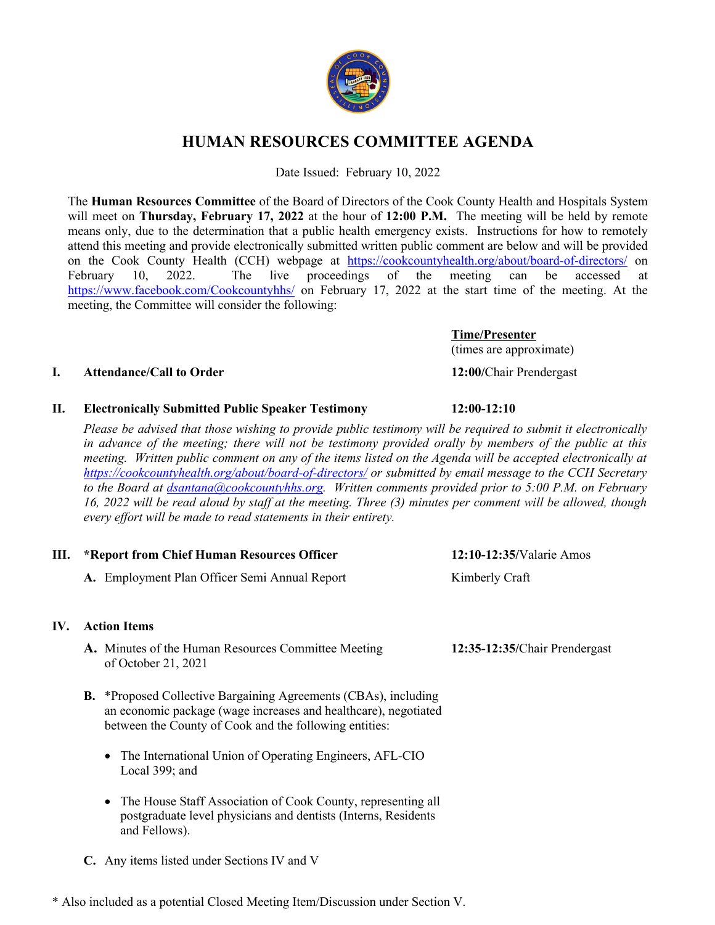

# **HUMAN RESOURCES COMMITTEE AGENDA**

Date Issued: February 10, 2022

The **Human Resources Committee** of the Board of Directors of the Cook County Health and Hospitals System will meet on **Thursday, February 17, 2022** at the hour of **12:00 P.M.** The meeting will be held by remote means only, due to the determination that a public health emergency exists. Instructions for how to remotely attend this meeting and provide electronically submitted written public comment are below and will be provided on the Cook County Health (CCH) webpage at https://cookcountyhealth.org/about/board-of-directors/ on February 10, 2022. The live proceedings of the meeting can be accessed at https://www.facebook.com/Cookcountyhhs/ on February 17, 2022 at the start time of the meeting. At the meeting, the Committee will consider the following:

> **Time/Presenter** (times are approximate)

# **I. Attendance/Call to Order 12:00/**Chair Prendergast

### **II. Electronically Submitted Public Speaker Testimony 12:00-12:10**

*Please be advised that those wishing to provide public testimony will be required to submit it electronically*  in advance of the meeting; there will not be testimony provided orally by members of the public at this *meeting. Written public comment on any of the items listed on the Agenda will be accepted electronically at https://cookcountyhealth.org/about/board-of-directors/ or submitted by email message to the CCH Secretary to the Board at dsantana@cookcountyhhs.org. Written comments provided prior to 5:00 P.M. on February 16, 2022 will be read aloud by staff at the meeting. Three (3) minutes per comment will be allowed, though every effort will be made to read statements in their entirety.*

| Ш.  | *Report from Chief Human Resources Officer |                                                                                                                                                                                                     | 12:10-12:35/Valarie Amos      |  |
|-----|--------------------------------------------|-----------------------------------------------------------------------------------------------------------------------------------------------------------------------------------------------------|-------------------------------|--|
|     |                                            | A. Employment Plan Officer Semi Annual Report                                                                                                                                                       | Kimberly Craft                |  |
| IV. | <b>Action Items</b>                        |                                                                                                                                                                                                     |                               |  |
|     |                                            | A. Minutes of the Human Resources Committee Meeting<br>of October 21, 2021                                                                                                                          | 12:35-12:35/Chair Prendergast |  |
|     |                                            | <b>B.</b> *Proposed Collective Bargaining Agreements (CBAs), including<br>an economic package (wage increases and healthcare), negotiated<br>between the County of Cook and the following entities: |                               |  |
|     |                                            | The International Union of Operating Engineers, AFL-CIO<br>$\bullet$<br>Local 399; and                                                                                                              |                               |  |
|     |                                            | • The House Staff Association of Cook County, representing all<br>postgraduate level physicians and dentists (Interns, Residents<br>and Fellows).                                                   |                               |  |
|     |                                            | C. Any items listed under Sections IV and V                                                                                                                                                         |                               |  |

\* Also included as a potential Closed Meeting Item/Discussion under Section V.